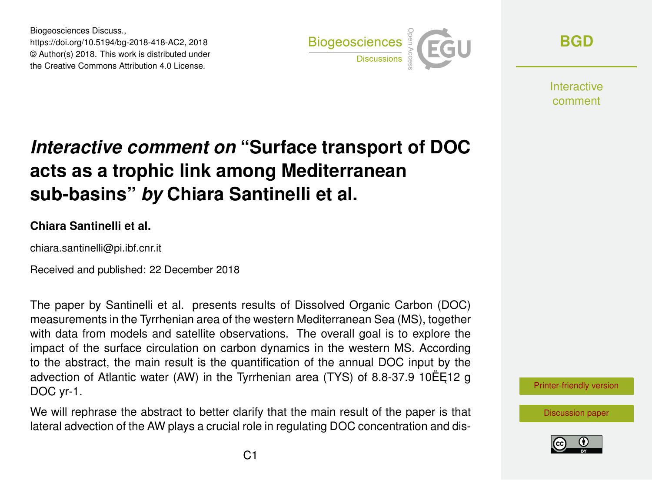Biogeosciences Discuss., https://doi.org/10.5194/bg-2018-418-AC2, 2018 © Author(s) 2018. This work is distributed under the Creative Commons Attribution 4.0 License.



**[BGD](https://www.biogeosciences-discuss.net/)**

**Interactive** comment

# *Interactive comment on* **"Surface transport of DOC acts as a trophic link among Mediterranean sub-basins"** *by* **Chiara Santinelli et al.**

#### **Chiara Santinelli et al.**

chiara.santinelli@pi.ibf.cnr.it

Received and published: 22 December 2018

The paper by Santinelli et al. presents results of Dissolved Organic Carbon (DOC) measurements in the Tyrrhenian area of the western Mediterranean Sea (MS), together with data from models and satellite observations. The overall goal is to explore the impact of the surface circulation on carbon dynamics in the western MS. According to the abstract, the main result is the quantification of the annual DOC input by the advection of Atlantic water (AW) in the Tyrrhenian area (TYS) of 8.8-37.9 10 $E$ E12 g DOC yr-1.

We will rephrase the abstract to better clarify that the main result of the paper is that lateral advection of the AW plays a crucial role in regulating DOC concentration and dis-



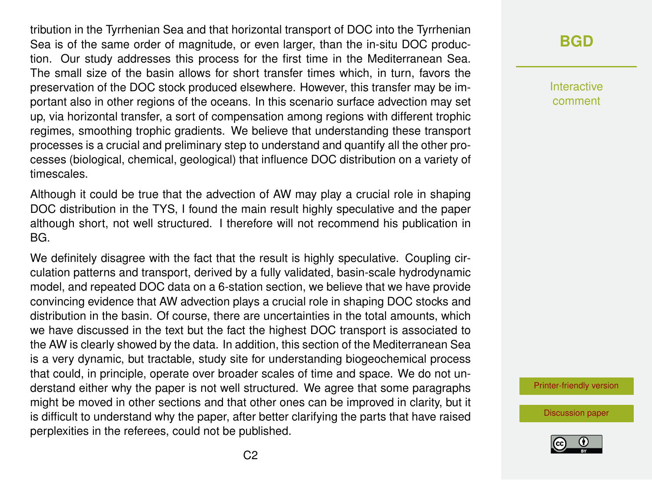tribution in the Tyrrhenian Sea and that horizontal transport of DOC into the Tyrrhenian Sea is of the same order of magnitude, or even larger, than the in-situ DOC production. Our study addresses this process for the first time in the Mediterranean Sea. The small size of the basin allows for short transfer times which, in turn, favors the preservation of the DOC stock produced elsewhere. However, this transfer may be important also in other regions of the oceans. In this scenario surface advection may set up, via horizontal transfer, a sort of compensation among regions with different trophic regimes, smoothing trophic gradients. We believe that understanding these transport processes is a crucial and preliminary step to understand and quantify all the other processes (biological, chemical, geological) that influence DOC distribution on a variety of timescales.

Although it could be true that the advection of AW may play a crucial role in shaping DOC distribution in the TYS, I found the main result highly speculative and the paper although short, not well structured. I therefore will not recommend his publication in BG.

We definitely disagree with the fact that the result is highly speculative. Coupling circulation patterns and transport, derived by a fully validated, basin-scale hydrodynamic model, and repeated DOC data on a 6-station section, we believe that we have provide convincing evidence that AW advection plays a crucial role in shaping DOC stocks and distribution in the basin. Of course, there are uncertainties in the total amounts, which we have discussed in the text but the fact the highest DOC transport is associated to the AW is clearly showed by the data. In addition, this section of the Mediterranean Sea is a very dynamic, but tractable, study site for understanding biogeochemical process that could, in principle, operate over broader scales of time and space. We do not understand either why the paper is not well structured. We agree that some paragraphs might be moved in other sections and that other ones can be improved in clarity, but it is difficult to understand why the paper, after better clarifying the parts that have raised perplexities in the referees, could not be published.

**[BGD](https://www.biogeosciences-discuss.net/)**

Interactive comment

[Printer-friendly version](https://www.biogeosciences-discuss.net/bg-2018-418/bg-2018-418-AC2-print.pdf)

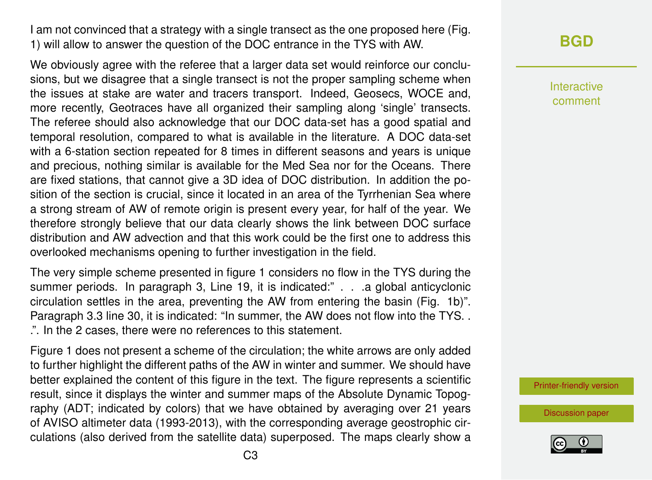I am not convinced that a strategy with a single transect as the one proposed here (Fig. 1) will allow to answer the question of the DOC entrance in the TYS with AW.

We obviously agree with the referee that a larger data set would reinforce our conclusions, but we disagree that a single transect is not the proper sampling scheme when the issues at stake are water and tracers transport. Indeed, Geosecs, WOCE and, more recently, Geotraces have all organized their sampling along 'single' transects. The referee should also acknowledge that our DOC data-set has a good spatial and temporal resolution, compared to what is available in the literature. A DOC data-set with a 6-station section repeated for 8 times in different seasons and years is unique and precious, nothing similar is available for the Med Sea nor for the Oceans. There are fixed stations, that cannot give a 3D idea of DOC distribution. In addition the position of the section is crucial, since it located in an area of the Tyrrhenian Sea where a strong stream of AW of remote origin is present every year, for half of the year. We therefore strongly believe that our data clearly shows the link between DOC surface distribution and AW advection and that this work could be the first one to address this overlooked mechanisms opening to further investigation in the field.

The very simple scheme presented in figure 1 considers no flow in the TYS during the summer periods. In paragraph 3, Line 19, it is indicated:" . . . a global anticyclonic circulation settles in the area, preventing the AW from entering the basin (Fig. 1b)". Paragraph 3.3 line 30, it is indicated: "In summer, the AW does not flow into the TYS. . .". In the 2 cases, there were no references to this statement.

Figure 1 does not present a scheme of the circulation; the white arrows are only added to further highlight the different paths of the AW in winter and summer. We should have better explained the content of this figure in the text. The figure represents a scientific result, since it displays the winter and summer maps of the Absolute Dynamic Topography (ADT; indicated by colors) that we have obtained by averaging over 21 years of AVISO altimeter data (1993-2013), with the corresponding average geostrophic circulations (also derived from the satellite data) superposed. The maps clearly show a

## **[BGD](https://www.biogeosciences-discuss.net/)**

Interactive comment

[Printer-friendly version](https://www.biogeosciences-discuss.net/bg-2018-418/bg-2018-418-AC2-print.pdf)

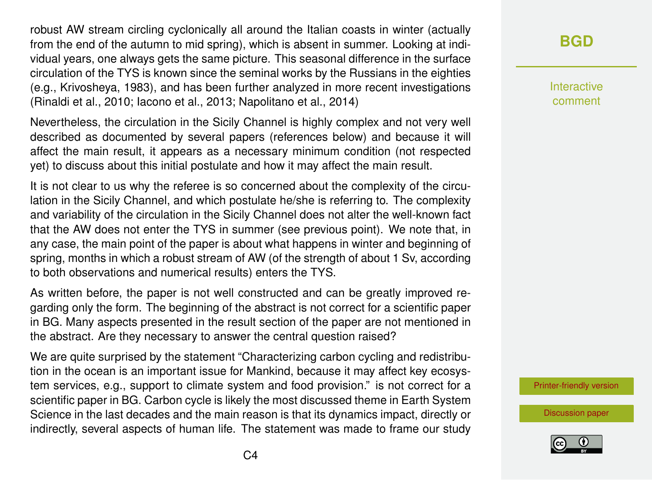robust AW stream circling cyclonically all around the Italian coasts in winter (actually from the end of the autumn to mid spring), which is absent in summer. Looking at individual years, one always gets the same picture. This seasonal difference in the surface circulation of the TYS is known since the seminal works by the Russians in the eighties (e.g., Krivosheya, 1983), and has been further analyzed in more recent investigations (Rinaldi et al., 2010; Iacono et al., 2013; Napolitano et al., 2014)

Nevertheless, the circulation in the Sicily Channel is highly complex and not very well described as documented by several papers (references below) and because it will affect the main result, it appears as a necessary minimum condition (not respected yet) to discuss about this initial postulate and how it may affect the main result.

It is not clear to us why the referee is so concerned about the complexity of the circulation in the Sicily Channel, and which postulate he/she is referring to. The complexity and variability of the circulation in the Sicily Channel does not alter the well-known fact that the AW does not enter the TYS in summer (see previous point). We note that, in any case, the main point of the paper is about what happens in winter and beginning of spring, months in which a robust stream of AW (of the strength of about 1 Sv, according to both observations and numerical results) enters the TYS.

As written before, the paper is not well constructed and can be greatly improved regarding only the form. The beginning of the abstract is not correct for a scientific paper in BG. Many aspects presented in the result section of the paper are not mentioned in the abstract. Are they necessary to answer the central question raised?

We are quite surprised by the statement "Characterizing carbon cycling and redistribution in the ocean is an important issue for Mankind, because it may affect key ecosystem services, e.g., support to climate system and food provision." is not correct for a scientific paper in BG. Carbon cycle is likely the most discussed theme in Earth System Science in the last decades and the main reason is that its dynamics impact, directly or indirectly, several aspects of human life. The statement was made to frame our study **[BGD](https://www.biogeosciences-discuss.net/)**

Interactive comment

[Printer-friendly version](https://www.biogeosciences-discuss.net/bg-2018-418/bg-2018-418-AC2-print.pdf)

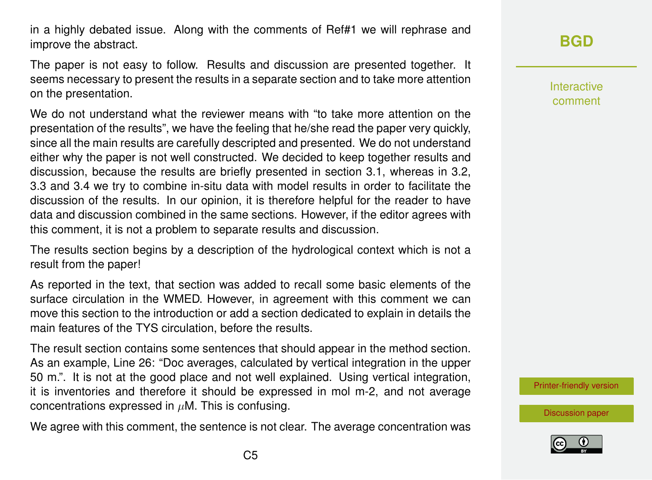in a highly debated issue. Along with the comments of Ref#1 we will rephrase and improve the abstract.

The paper is not easy to follow. Results and discussion are presented together. It seems necessary to present the results in a separate section and to take more attention on the presentation.

We do not understand what the reviewer means with "to take more attention on the presentation of the results", we have the feeling that he/she read the paper very quickly, since all the main results are carefully descripted and presented. We do not understand either why the paper is not well constructed. We decided to keep together results and discussion, because the results are briefly presented in section 3.1, whereas in 3.2, 3.3 and 3.4 we try to combine in-situ data with model results in order to facilitate the discussion of the results. In our opinion, it is therefore helpful for the reader to have data and discussion combined in the same sections. However, if the editor agrees with this comment, it is not a problem to separate results and discussion.

The results section begins by a description of the hydrological context which is not a result from the paper!

As reported in the text, that section was added to recall some basic elements of the surface circulation in the WMED. However, in agreement with this comment we can move this section to the introduction or add a section dedicated to explain in details the main features of the TYS circulation, before the results.

The result section contains some sentences that should appear in the method section. As an example, Line 26: "Doc averages, calculated by vertical integration in the upper 50 m.". It is not at the good place and not well explained. Using vertical integration, it is inventories and therefore it should be expressed in mol m-2, and not average concentrations expressed in  $\mu$ M. This is confusing.

We agree with this comment, the sentence is not clear. The average concentration was

Interactive comment

[Printer-friendly version](https://www.biogeosciences-discuss.net/bg-2018-418/bg-2018-418-AC2-print.pdf)



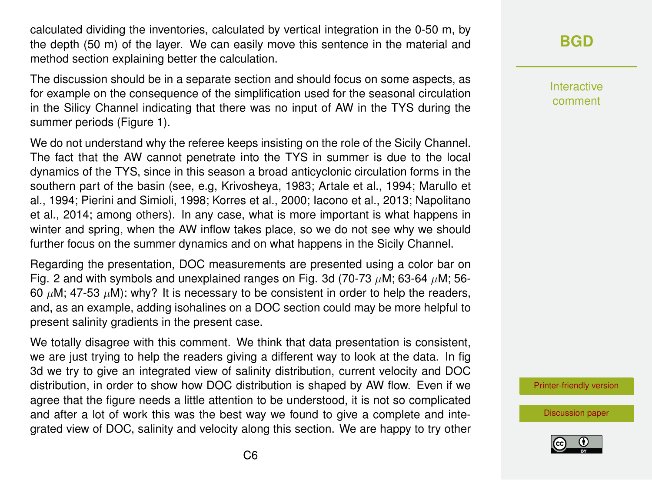calculated dividing the inventories, calculated by vertical integration in the 0-50 m, by the depth (50 m) of the layer. We can easily move this sentence in the material and method section explaining better the calculation.

The discussion should be in a separate section and should focus on some aspects, as for example on the consequence of the simplification used for the seasonal circulation in the Silicy Channel indicating that there was no input of AW in the TYS during the summer periods (Figure 1).

We do not understand why the referee keeps insisting on the role of the Sicily Channel. The fact that the AW cannot penetrate into the TYS in summer is due to the local dynamics of the TYS, since in this season a broad anticyclonic circulation forms in the southern part of the basin (see, e.g, Krivosheya, 1983; Artale et al., 1994; Marullo et al., 1994; Pierini and Simioli, 1998; Korres et al., 2000; Iacono et al., 2013; Napolitano et al., 2014; among others). In any case, what is more important is what happens in winter and spring, when the AW inflow takes place, so we do not see why we should further focus on the summer dynamics and on what happens in the Sicily Channel.

Regarding the presentation, DOC measurements are presented using a color bar on Fig. 2 and with symbols and unexplained ranges on Fig. 3d (70-73  $\mu$ M; 63-64  $\mu$ M; 56-60  $\mu$ M; 47-53  $\mu$ M): why? It is necessary to be consistent in order to help the readers, and, as an example, adding isohalines on a DOC section could may be more helpful to present salinity gradients in the present case.

We totally disagree with this comment. We think that data presentation is consistent, we are just trying to help the readers giving a different way to look at the data. In fig 3d we try to give an integrated view of salinity distribution, current velocity and DOC distribution, in order to show how DOC distribution is shaped by AW flow. Even if we agree that the figure needs a little attention to be understood, it is not so complicated and after a lot of work this was the best way we found to give a complete and integrated view of DOC, salinity and velocity along this section. We are happy to try other

#### **[BGD](https://www.biogeosciences-discuss.net/)**

Interactive comment

[Printer-friendly version](https://www.biogeosciences-discuss.net/bg-2018-418/bg-2018-418-AC2-print.pdf)

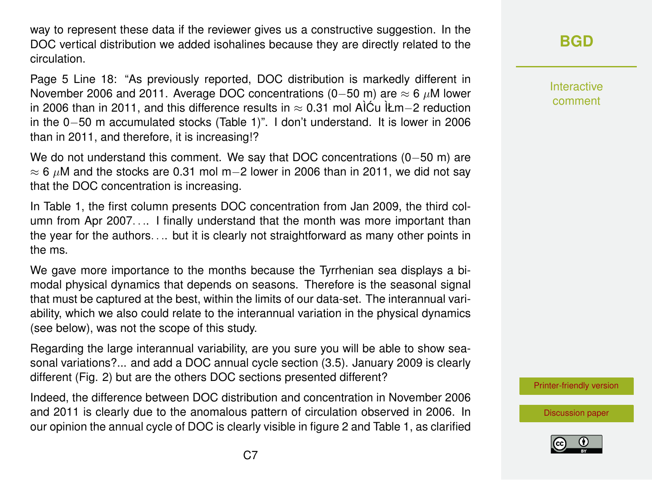way to represent these data if the reviewer gives us a constructive suggestion. In the DOC vertical distribution we added isohalines because they are directly related to the circulation.

Page 5 Line 18: "As previously reported, DOC distribution is markedly different in November 2006 and 2011. Average DOC concentrations (0–50 m) are  $\approx$  6  $\mu$ M lower in 2006 than in 2011, and this difference results in  $\approx$  0.31 mol AlĆu  $\,$ km – 2 reduction in the 0−50 m accumulated stocks (Table 1)". I don't understand. It is lower in 2006 than in 2011, and therefore, it is increasing!?

We do not understand this comment. We say that DOC concentrations (0−50 m) are  $\approx$  6  $\mu$ M and the stocks are 0.31 mol m−2 lower in 2006 than in 2011, we did not say that the DOC concentration is increasing.

In Table 1, the first column presents DOC concentration from Jan 2009, the third column from Apr 2007. . .. I finally understand that the month was more important than the year for the authors. . .. but it is clearly not straightforward as many other points in the ms.

We gave more importance to the months because the Tyrrhenian sea displays a bimodal physical dynamics that depends on seasons. Therefore is the seasonal signal that must be captured at the best, within the limits of our data-set. The interannual variability, which we also could relate to the interannual variation in the physical dynamics (see below), was not the scope of this study.

Regarding the large interannual variability, are you sure you will be able to show seasonal variations?... and add a DOC annual cycle section (3.5). January 2009 is clearly different (Fig. 2) but are the others DOC sections presented different?

Indeed, the difference between DOC distribution and concentration in November 2006 and 2011 is clearly due to the anomalous pattern of circulation observed in 2006. In our opinion the annual cycle of DOC is clearly visible in figure 2 and Table 1, as clarified

## **[BGD](https://www.biogeosciences-discuss.net/)**

Interactive comment

[Printer-friendly version](https://www.biogeosciences-discuss.net/bg-2018-418/bg-2018-418-AC2-print.pdf)